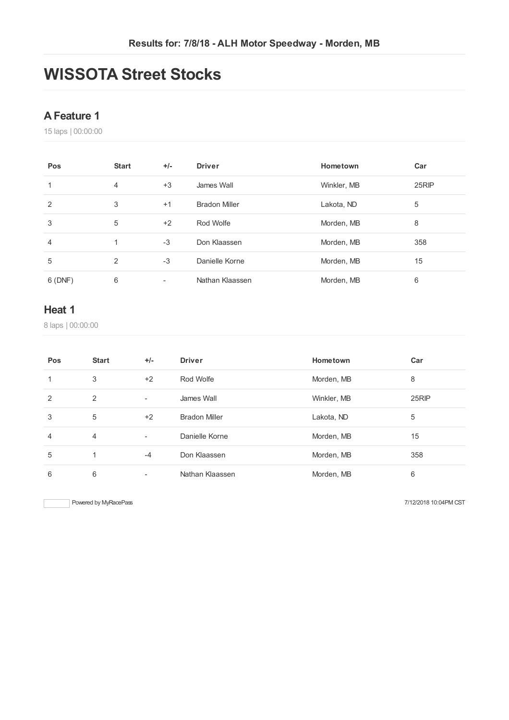## **WISSOTA Street Stocks**

#### **AFeature 1**

laps | 00:00:00

| Pos    | <b>Start</b>   | $+/-$ | <b>Driver</b>        | Hometown    | Car   |
|--------|----------------|-------|----------------------|-------------|-------|
| 1      | $\overline{4}$ | $+3$  | James Wall           | Winkler, MB | 25RIP |
| 2      | 3              | $+1$  | <b>Bradon Miller</b> | Lakota, ND  | 5     |
| 3      | 5              | $+2$  | Rod Wolfe            | Morden, MB  | 8     |
| 4      | 1              | $-3$  | Don Klaassen         | Morden, MB  | 358   |
| 5      | $\mathcal{P}$  | $-3$  | Danielle Korne       | Morden, MB  | 15    |
| 6(DNF) | 6              | ۰     | Nathan Klaassen      | Morden, MB  | 6     |

#### **Heat 1**

laps | 00:00:00

| Pos | <b>Start</b>   | $+/-$          | <b>Driver</b>        | Hometown    | Car   |
|-----|----------------|----------------|----------------------|-------------|-------|
| 1   | 3              | $+2$           | Rod Wolfe            | Morden, MB  | 8     |
| 2   | 2              | ٠              | James Wall           | Winkler, MB | 25RIP |
| 3   | 5              | $+2$           | <b>Bradon Miller</b> | Lakota, ND  | 5     |
| 4   | $\overline{4}$ | $\blacksquare$ | Danielle Korne       | Morden, MB  | 15    |
| 5   |                | $-4$           | Don Klaassen         | Morden, MB  | 358   |
| 6   | 6              | ۰              | Nathan Klaassen      | Morden, MB  | 6     |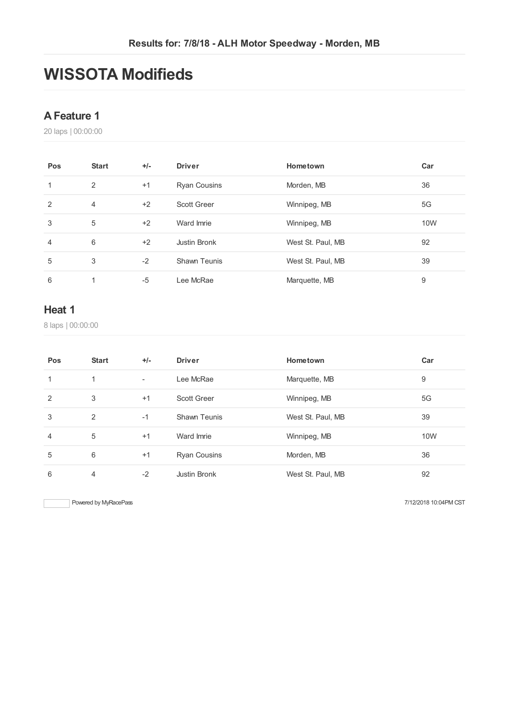## **WISSOTA Modifieds**

#### **AFeature 1**

laps | 00:00:00

| Pos            | <b>Start</b>   | $+/-$ | <b>Driver</b>       | Hometown          | Car |
|----------------|----------------|-------|---------------------|-------------------|-----|
| 1              | 2              | $+1$  | <b>Ryan Cousins</b> | Morden, MB        | 36  |
| 2              | $\overline{4}$ | $+2$  | <b>Scott Greer</b>  | Winnipeg, MB      | 5G  |
| 3              | 5              | $+2$  | Ward Imrie          | Winnipeg, MB      | 10W |
| $\overline{4}$ | 6              | $+2$  | Justin Bronk        | West St. Paul, MB | 92  |
| 5              | 3              | $-2$  | <b>Shawn Teunis</b> | West St. Paul, MB | 39  |
| 6              | 1              | -5    | Lee McRae           | Marquette, MB     | 9   |

#### **Heat 1**

laps | 00:00:00

| Pos            | <b>Start</b> | $+/-$                    | <b>Driver</b>       | Hometown          | Car |
|----------------|--------------|--------------------------|---------------------|-------------------|-----|
| 1              | 1            | $\overline{\phantom{a}}$ | Lee McRae           | Marquette, MB     | 9   |
| 2              | 3            | $+1$                     | <b>Scott Greer</b>  | Winnipeg, MB      | 5G  |
| 3              | 2            | $-1$                     | <b>Shawn Teunis</b> | West St. Paul, MB | 39  |
| $\overline{4}$ | 5            | $+1$                     | Ward Imrie          | Winnipeg, MB      | 10W |
| 5              | 6            | $+1$                     | <b>Ryan Cousins</b> | Morden, MB        | 36  |
| 6              | 4            | $-2$                     | Justin Bronk        | West St. Paul, MB | 92  |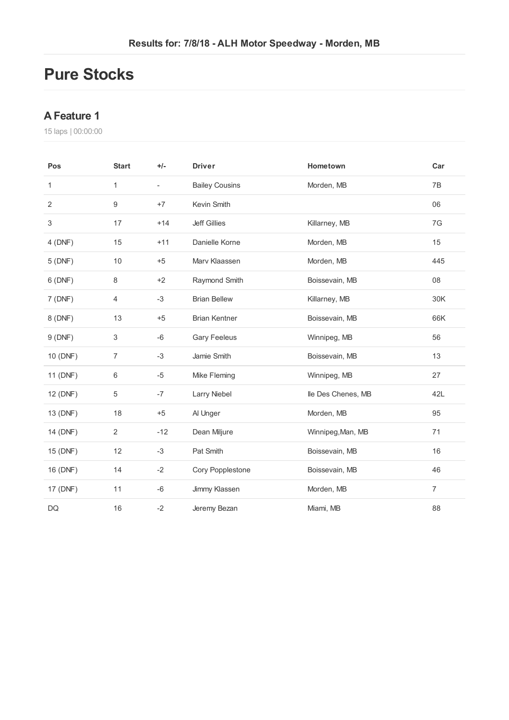### **Pure Stocks**

#### **AFeature 1**

laps | 00:00:00

| Pos            | <b>Start</b>     | $+/-$                    | <b>Driver</b>         | Hometown           | Car            |
|----------------|------------------|--------------------------|-----------------------|--------------------|----------------|
| 1              | $\mathbf{1}$     | $\overline{\phantom{a}}$ | <b>Bailey Cousins</b> | Morden, MB         | 7B             |
| $\overline{2}$ | $\boldsymbol{9}$ | $+7$                     | Kevin Smith           |                    | 06             |
| $\,$ 3 $\,$    | 17               | $+14$                    | <b>Jeff Gillies</b>   | Killarney, MB      | 7G             |
| 4(DNF)         | 15               | $+11$                    | Danielle Korne        | Morden, MB         | 15             |
| 5(DNF)         | 10               | $+5$                     | Marv Klaassen         | Morden, MB         | 445            |
| 6(DNF)         | 8                | $+2$                     | Raymond Smith         | Boissevain, MB     | 08             |
| 7(DNF)         | 4                | $-3$                     | <b>Brian Bellew</b>   | Killarney, MB      | 30K            |
| 8 (DNF)        | 13               | $+5$                     | <b>Brian Kentner</b>  | Boissevain, MB     | 66K            |
| 9(DNF)         | 3                | $-6$                     | <b>Gary Feeleus</b>   | Winnipeg, MB       | 56             |
| 10 (DNF)       | 7                | $-3$                     | Jamie Smith           | Boissevain, MB     | 13             |
| 11 (DNF)       | 6                | $-5$                     | Mike Fleming          | Winnipeg, MB       | 27             |
| 12 (DNF)       | 5                | $-7$                     | Larry Niebel          | lle Des Chenes, MB | 42L            |
| 13 (DNF)       | 18               | $+5$                     | Al Unger              | Morden, MB         | 95             |
| 14 (DNF)       | 2                | $-12$                    | Dean Miljure          | Winnipeg, Man, MB  | 71             |
| 15 (DNF)       | 12               | $-3$                     | Pat Smith             | Boissevain, MB     | 16             |
| 16 (DNF)       | 14               | $-2$                     | Cory Popplestone      | Boissevain, MB     | 46             |
| 17 (DNF)       | 11               | -6                       | Jimmy Klassen         | Morden, MB         | $\overline{7}$ |
| <b>DQ</b>      | 16               | $-2$                     | Jeremy Bezan          | Miami, MB          | 88             |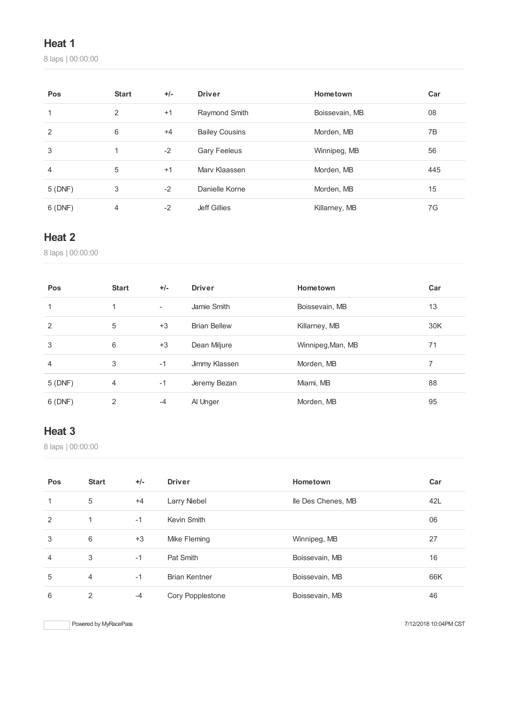#### **Heat 1**

laps | 00:00:00

| Pos            | <b>Start</b> | $+/-$ | <b>Driver</b>         | Hometown       | Car |
|----------------|--------------|-------|-----------------------|----------------|-----|
| 1              | 2            | $+1$  | Raymond Smith         | Boissevain, MB | 08  |
| $\overline{2}$ | 6            | $+4$  | <b>Bailey Cousins</b> | Morden, MB     | 7B  |
| 3              |              | $-2$  | <b>Gary Feeleus</b>   | Winnipeg, MB   | 56  |
| 4              | 5            | $+1$  | Mary Klaassen         | Morden, MB     | 445 |
| 5(DNF)         | 3            | $-2$  | Danielle Korne        | Morden, MB     | 15  |
| 6(DNF)         | 4            | $-2$  | Jeff Gillies          | Killarney, MB  | 7G  |

#### **Heat 2**

laps | 00:00:00

| Pos    | <b>Start</b> | $+/-$                    | <b>Driver</b>       | Hometown          | Car |
|--------|--------------|--------------------------|---------------------|-------------------|-----|
|        | 1            | $\overline{\phantom{a}}$ | Jamie Smith         | Boissevain, MB    | 13  |
| 2      | 5            | $+3$                     | <b>Brian Bellew</b> | Killarney, MB     | 30K |
| 3      | 6            | $+3$                     | Dean Miljure        | Winnipeg, Man, MB | 71  |
| 4      | 3            | $-1$                     | Jimmy Klassen       | Morden, MB        | 7   |
| 5(DNF) | 4            | $-1$                     | Jeremy Bezan        | Miami, MB         | 88  |
| 6(DNF) | 2            | $-4$                     | Al Unger            | Morden, MB        | 95  |

### **Heat 3**

laps | 00:00:00

| Pos            | <b>Start</b> | $+/-$ | <b>Driver</b>        | Hometown           | Car |
|----------------|--------------|-------|----------------------|--------------------|-----|
| 1              | 5            | $+4$  | Larry Niebel         | lle Des Chenes, MB | 42L |
| 2              | 1            | $-1$  | Kevin Smith          |                    | 06  |
| 3              | 6            | $+3$  | Mike Fleming         | Winnipeg, MB       | 27  |
| $\overline{4}$ | 3            | $-1$  | Pat Smith            | Boissevain, MB     | 16  |
| 5              | 4            | $-1$  | <b>Brian Kentner</b> | Boissevain, MB     | 66K |
| 6              | 2            | $-4$  | Cory Popplestone     | Boissevain, MB     | 46  |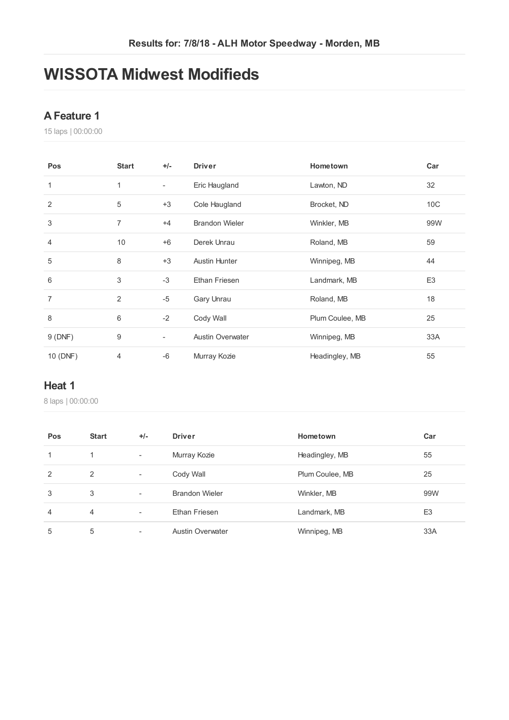## **WISSOTA Midwest Modifieds**

#### **AFeature 1**

laps | 00:00:00

| Pos            | <b>Start</b>   | $+/-$                    | <b>Driver</b>           | Hometown        | Car             |
|----------------|----------------|--------------------------|-------------------------|-----------------|-----------------|
| 1              | 1              | $\overline{\phantom{a}}$ | Eric Haugland           | Lawton, ND      | 32              |
| 2              | 5              | $+3$                     | Cole Haugland           | Brocket, ND     | 10 <sup>C</sup> |
| 3              | 7              | $+4$                     | <b>Brandon Wieler</b>   | Winkler, MB     | 99W             |
| 4              | 10             | $+6$                     | Derek Unrau             | Roland, MB      | 59              |
| 5              | 8              | $+3$                     | <b>Austin Hunter</b>    | Winnipeg, MB    | 44              |
| $6\,$          | 3              | $-3$                     | Ethan Friesen           | Landmark, MB    | E <sub>3</sub>  |
| $\overline{7}$ | 2              | $-5$                     | Gary Unrau              | Roland, MB      | 18              |
| 8              | 6              | $-2$                     | Cody Wall               | Plum Coulee, MB | 25              |
| 9(DNF)         | 9              | $\overline{\phantom{a}}$ | <b>Austin Overwater</b> | Winnipeg, MB    | 33A             |
| 10 (DNF)       | $\overline{4}$ | $-6$                     | Murray Kozie            | Headingley, MB  | 55              |

#### **Heat 1**

laps | 00:00:00

| Pos            | <b>Start</b>   | $+/-$                    | <b>Driver</b>           | Hometown        | Car            |
|----------------|----------------|--------------------------|-------------------------|-----------------|----------------|
| 1              | 1              | $\overline{\phantom{a}}$ | Murray Kozie            | Headingley, MB  | 55             |
| 2              | 2              | $\overline{\phantom{a}}$ | Cody Wall               | Plum Coulee, MB | 25             |
| 3              | 3              | $\overline{\phantom{a}}$ | <b>Brandon Wieler</b>   | Winkler, MB     | 99W            |
| $\overline{4}$ | $\overline{4}$ | $\overline{\phantom{a}}$ | Ethan Friesen           | Landmark, MB    | E <sub>3</sub> |
| 5              | 5              |                          | <b>Austin Overwater</b> | Winnipeg, MB    | 33A            |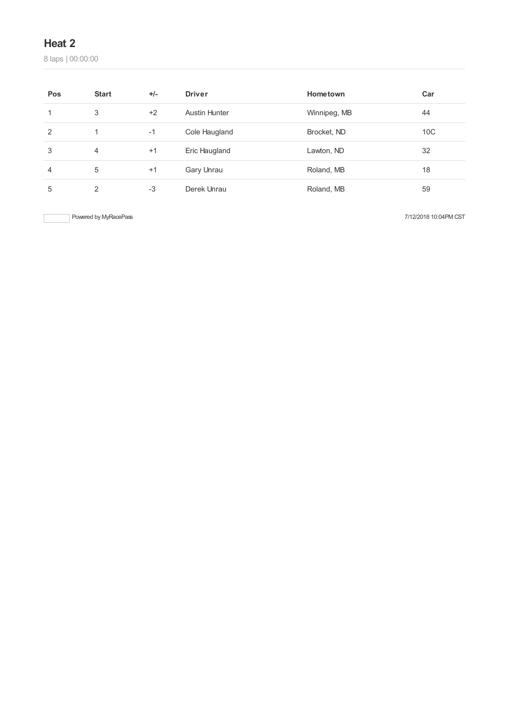#### **Heat 2**

laps | 00:00:00

| Pos | <b>Start</b>   | $+/-$ | <b>Driver</b>        | Hometown     | Car             |
|-----|----------------|-------|----------------------|--------------|-----------------|
| 1   | 3              | $+2$  | <b>Austin Hunter</b> | Winnipeg, MB | 44              |
| 2   |                | $-1$  | Cole Haugland        | Brocket, ND  | 10 <sup>C</sup> |
| 3   | $\overline{4}$ | $+1$  | Eric Haugland        | Lawton, ND   | 32              |
| 4   | 5              | $+1$  | Gary Unrau           | Roland, MB   | 18              |
| 5   | 2              | $-3$  | Derek Unrau          | Roland, MB   | 59              |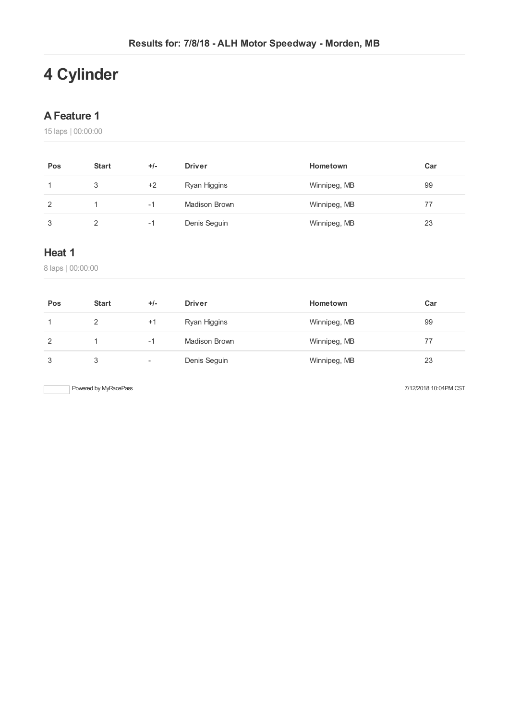# **4 Cylinder**

#### **AFeature 1**

15 laps | 00:00:00

| Pos | <b>Start</b> | $+/-$ | <b>Driver</b> | Hometown     | Car |
|-----|--------------|-------|---------------|--------------|-----|
|     | 3            | $+2$  | Ryan Higgins  | Winnipeg, MB | 99  |
| 2   |              | -1    | Madison Brown | Winnipeg, MB | 77  |
| 3   |              | -1    | Denis Seguin  | Winnipeg, MB | 23  |

### **Heat 1**

8 laps | 00:00:00

| Pos | <b>Start</b> | $+/-$                    | <b>Driver</b> | Hometown     | Car |
|-----|--------------|--------------------------|---------------|--------------|-----|
|     |              | $+1$                     | Ryan Higgins  | Winnipeg, MB | 99  |
| 2   |              | -1                       | Madison Brown | Winnipeg, MB | 77  |
| 3   |              | $\overline{\phantom{a}}$ | Denis Seguin  | Winnipeg, MB | 23  |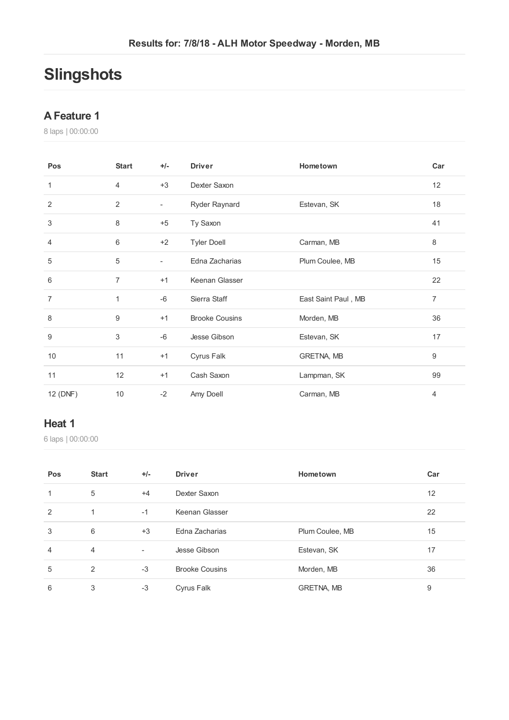# **Slingshots**

#### **AFeature 1**

laps | 00:00:00

| Pos              | <b>Start</b>   | $+/-$                    | <b>Driver</b>         | Hometown            | Car            |
|------------------|----------------|--------------------------|-----------------------|---------------------|----------------|
| 1                | $\overline{4}$ | $+3$                     | Dexter Saxon          |                     | 12             |
| $\overline{2}$   | $\sqrt{2}$     | $\overline{\phantom{0}}$ | Ryder Raynard         | Estevan, SK         | 18             |
| 3                | 8              | $+5$                     | Ty Saxon              |                     | 41             |
| 4                | 6              | $+2$                     | <b>Tyler Doell</b>    | Carman, MB          | 8              |
| 5                | 5              | $\overline{\phantom{0}}$ | Edna Zacharias        | Plum Coulee, MB     | 15             |
| 6                | $\overline{7}$ | $+1$                     | Keenan Glasser        |                     | 22             |
| $\overline{7}$   | 1              | -6                       | Sierra Staff          | East Saint Paul, MB | $\overline{7}$ |
| 8                | 9              | $+1$                     | <b>Brooke Cousins</b> | Morden, MB          | 36             |
| $\boldsymbol{9}$ | 3              | $-6$                     | Jesse Gibson          | Estevan, SK         | 17             |
| 10               | 11             | $+1$                     | Cyrus Falk            | GRETNA, MB          | 9              |
| 11               | 12             | $+1$                     | Cash Saxon            | Lampman, SK         | 99             |
| 12 (DNF)         | 10             | $-2$                     | Amy Doell             | Carman, MB          | 4              |

#### **Heat 1**

laps | 00:00:00

| Pos            | <b>Start</b>   | $+/-$                    | <b>Driver</b>         | Hometown        | Car |
|----------------|----------------|--------------------------|-----------------------|-----------------|-----|
| 1              | 5              | $+4$                     | Dexter Saxon          |                 | 12  |
| 2              | 1              | $-1$                     | Keenan Glasser        |                 | 22  |
| 3              | 6              | $+3$                     | Edna Zacharias        | Plum Coulee, MB | 15  |
| $\overline{4}$ | $\overline{4}$ | $\overline{\phantom{a}}$ | Jesse Gibson          | Estevan, SK     | 17  |
| 5              | 2              | $-3$                     | <b>Brooke Cousins</b> | Morden, MB      | 36  |
| 6              | 3              | $-3$                     | Cyrus Falk            | GRETNA, MB      | 9   |